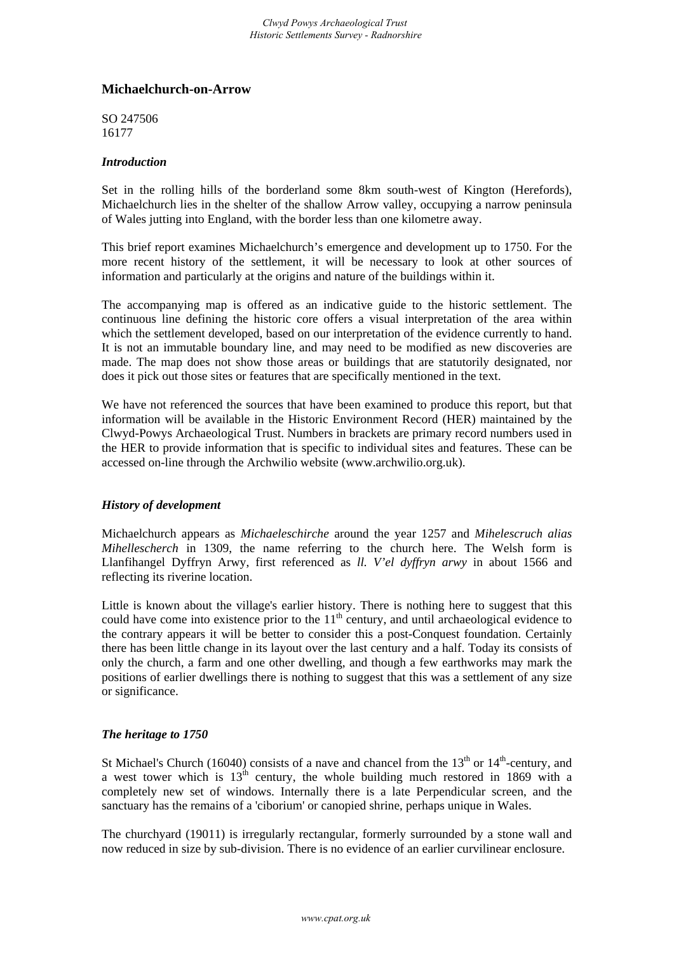## **Michaelchurch-on-Arrow**

SO 247506 16177

## *Introduction*

Set in the rolling hills of the borderland some 8km south-west of Kington (Herefords), Michaelchurch lies in the shelter of the shallow Arrow valley, occupying a narrow peninsula of Wales jutting into England, with the border less than one kilometre away.

This brief report examines Michaelchurch's emergence and development up to 1750. For the more recent history of the settlement, it will be necessary to look at other sources of information and particularly at the origins and nature of the buildings within it.

The accompanying map is offered as an indicative guide to the historic settlement. The continuous line defining the historic core offers a visual interpretation of the area within which the settlement developed, based on our interpretation of the evidence currently to hand. It is not an immutable boundary line, and may need to be modified as new discoveries are made. The map does not show those areas or buildings that are statutorily designated, nor does it pick out those sites or features that are specifically mentioned in the text.

We have not referenced the sources that have been examined to produce this report, but that information will be available in the Historic Environment Record (HER) maintained by the Clwyd-Powys Archaeological Trust. Numbers in brackets are primary record numbers used in the HER to provide information that is specific to individual sites and features. These can be accessed on-line through the Archwilio website (www.archwilio.org.uk).

## *History of development*

Michaelchurch appears as *Michaeleschirche* around the year 1257 and *Mihelescruch alias Mihellescherch* in 1309, the name referring to the church here. The Welsh form is Llanfihangel Dyffryn Arwy, first referenced as *ll. V'el dyffryn arwy* in about 1566 and reflecting its riverine location.

Little is known about the village's earlier history. There is nothing here to suggest that this could have come into existence prior to the  $11<sup>th</sup>$  century, and until archaeological evidence to the contrary appears it will be better to consider this a post-Conquest foundation. Certainly there has been little change in its layout over the last century and a half. Today its consists of only the church, a farm and one other dwelling, and though a few earthworks may mark the positions of earlier dwellings there is nothing to suggest that this was a settlement of any size or significance.

## *The heritage to 1750*

St Michael's Church (16040) consists of a nave and chancel from the  $13<sup>th</sup>$  or  $14<sup>th</sup>$ -century, and a west tower which is  $13^{th}$  century, the whole building much restored in 1869 with a completely new set of windows. Internally there is a late Perpendicular screen, and the sanctuary has the remains of a 'ciborium' or canopied shrine, perhaps unique in Wales.

The churchyard (19011) is irregularly rectangular, formerly surrounded by a stone wall and now reduced in size by sub-division. There is no evidence of an earlier curvilinear enclosure.